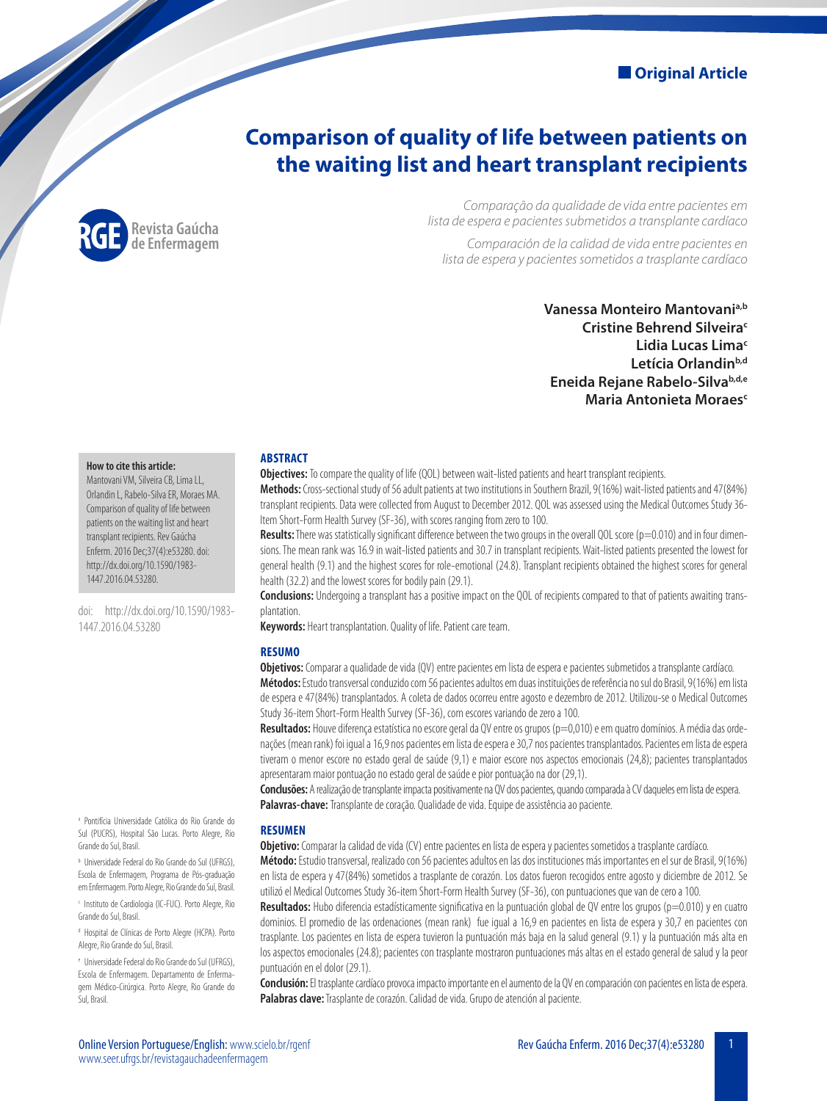

# **Comparison of quality of life between patients on the waiting list and heart transplant recipients**



*Comparação da qualidade de vida entre pacientes em lista de espera e pacientes submetidos a transplante cardíaco*

*Comparación de la calidad de vida entre pacientes en lista de espera y pacientes sometidos a trasplante cardíaco*

> **Vanessa Monteiro Mantovania,b Cristine Behrend Silveirac Lidia Lucas Limac** Letícia Orlandin<sup>b,d</sup> **Eneida Rejane Rabelo-Silvab,d,e Maria Antonieta Moraes<sup>c</sup>**

#### **How to cite this article:**

Mantovani VM, Silveira CB, Lima LL, Orlandin L, Rabelo-Silva ER, Moraes MA. Comparison of quality of life between patients on the waiting list and heart transplant recipients. Rev Gaúcha Enferm. 2016 Dec;37(4):e53280. doi: [http://dx.doi.org/10.1590/1983-](http://dx.doi.org/10.1590/1983-1447.2016.04.53280) [1447.2016.04.53280.](http://dx.doi.org/10.1590/1983-1447.2016.04.53280)

doi: [http://dx.doi.org/10.1590/1983-](http://dx.doi.org/10.1590/1983-1447.2016.04.53280) [1447.2016.04.53280](http://dx.doi.org/10.1590/1983-1447.2016.04.53280)

<sup>a</sup> Pontifícia Universidade Católica do Rio Grande do Sul (PUCRS), Hospital São Lucas. Porto Alegre, Rio Grande do Sul, Brasil.

<sup>b</sup> Universidade Federal do Rio Grande do Sul (UFRGS), Escola de Enfermagem, Programa de Pós-graduação em Enfermagem. Porto Alegre, Rio Grande do Sul, Brasil.

<sup>c</sup> Instituto de Cardiologia (IC-FUC). Porto Alegre, Rio Grande do Sul, Brasil.

<sup>d</sup> Hospital de Clínicas de Porto Alegre (HCPA). Porto Alegre, Rio Grande do Sul, Brasil.

<sup>e</sup> Universidade Federal do Rio Grande do Sul (UFRGS), Escola de Enfermagem. Departamento de Enfermagem Médico-Cirúrgica. Porto Alegre, Rio Grande do Sul, Brasil.

#### **ABSTRACT**

**Objectives:** To compare the quality of life (QOL) between wait-listed patients and heart transplant recipients.

**Methods:** Cross-sectional study of 56 adult patients at two institutions in Southern Brazil, 9(16%) wait-listed patients and 47(84%) transplant recipients. Data were collected from August to December 2012. QOL was assessed using the Medical Outcomes Study 36- Item Short-Form Health Survey (SF-36), with scores ranging from zero to 100.

**Results:** There was statistically significant difference between the two groups in the overall QOL score (p=0.010) and in four dimensions. The mean rank was 16.9 in wait-listed patients and 30.7 in transplant recipients. Wait-listed patients presented the lowest for general health (9.1) and the highest scores for role-emotional (24.8). Transplant recipients obtained the highest scores for general health (32.2) and the lowest scores for bodily pain (29.1).

**Conclusions:** Undergoing a transplant has a positive impact on the QOL of recipients compared to that of patients awaiting transplantation.

**Keywords:** Heart transplantation. Quality of life. Patient care team.

#### **RESUMO**

**Objetivos:** Comparar a qualidade de vida (QV) entre pacientes em lista de espera e pacientes submetidos a transplante cardíaco. **Métodos:** Estudo transversal conduzido com 56 pacientes adultos em duas instituições de referência no sul do Brasil, 9(16%) em lista de espera e 47(84%) transplantados. A coleta de dados ocorreu entre agosto e dezembro de 2012. Utilizou-se o Medical Outcomes Study 36-item Short-Form Health Survey (SF-36), com escores variando de zero a 100.

**Resultados:** Houve diferença estatística no escore geral da QV entre os grupos (p=0,010) e em quatro domínios. A média das ordenações (mean rank) foi igual a 16,9 nos pacientes em lista de espera e 30,7 nos pacientes transplantados. Pacientes em lista de espera tiveram o menor escore no estado geral de saúde (9,1) e maior escore nos aspectos emocionais (24,8); pacientes transplantados apresentaram maior pontuação no estado geral de saúde e pior pontuação na dor (29,1).

**Conclusões:** A realização de transplante impacta positivamente na QV dos pacientes, quando comparada à CV daqueles em lista de espera. **Palavras-chave:** Transplante de coração. Qualidade de vida. Equipe de assistência ao paciente.

#### **RESUMEN**

**Objetivo:** Comparar la calidad de vida (CV) entre pacientes en lista de espera y pacientes sometidos a trasplante cardíaco. **Método:** Estudio transversal, realizado con 56 pacientes adultos en las dos instituciones más importantes en el sur de Brasil, 9(16%) en lista de espera y 47(84%) sometidos a trasplante de corazón. Los datos fueron recogidos entre agosto y diciembre de 2012. Se utilizó el Medical Outcomes Study 36-item Short-Form Health Survey (SF-36), con puntuaciones que van de cero a 100.

Resultados: Hubo diferencia estadísticamente significativa en la puntuación global de QV entre los grupos (p=0.010) y en cuatro dominios. El promedio de las ordenaciones (mean rank) fue igual a 16,9 en pacientes en lista de espera y 30,7 en pacientes con trasplante. Los pacientes en lista de espera tuvieron la puntuación más baja en la salud general (9.1) y la puntuación más alta en los aspectos emocionales (24.8); pacientes con trasplante mostraron puntuaciones más altas en el estado general de salud y la peor puntuación en el dolor (29.1).

**Conclusión:** El trasplante cardíaco provoca impacto importante en el aumento de la QV en comparación con pacientes en lista de espera. **Palabras clave:** Trasplante de corazón. Calidad de vida. Grupo de atención al paciente.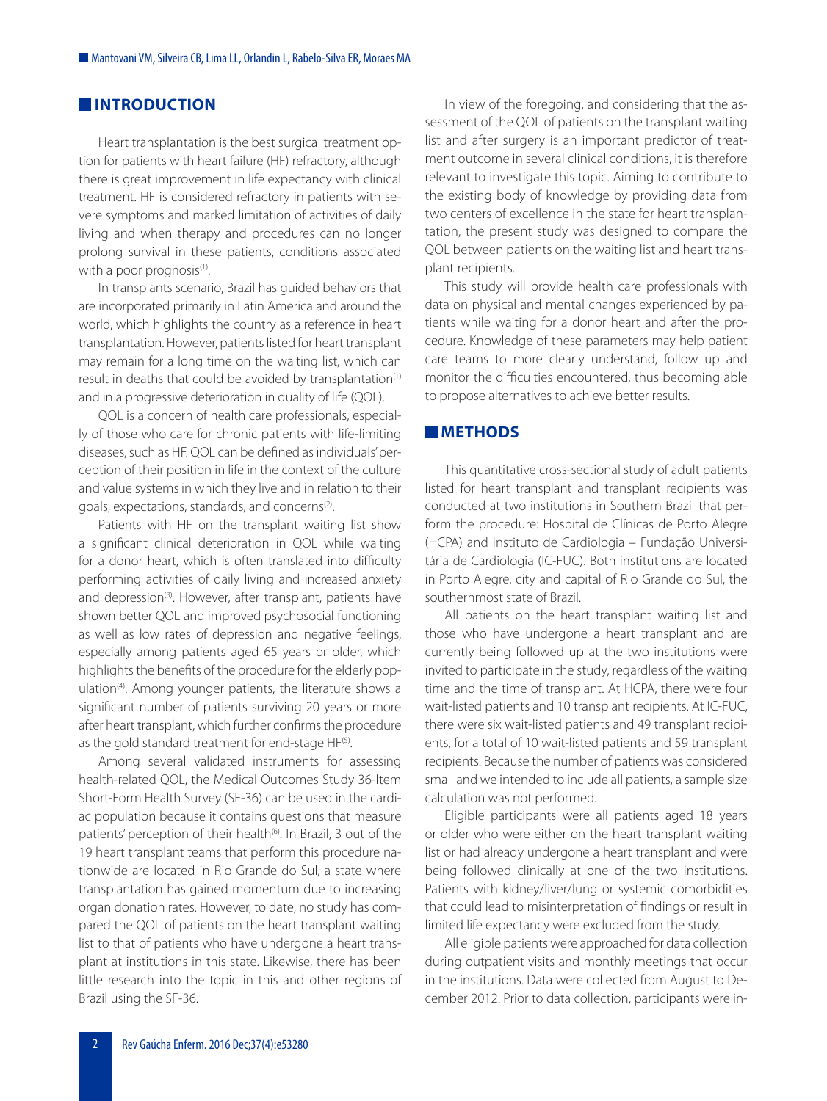# **INTRODUCTION**

Heart transplantation is the best surgical treatment option for patients with heart failure (HF) refractory, although there is great improvement in life expectancy with clinical treatment. HF is considered refractory in patients with severe symptoms and marked limitation of activities of daily living and when therapy and procedures can no longer prolong survival in these patients, conditions associated with a poor prognosis $(1)$ .

In transplants scenario, Brazil has guided behaviors that are incorporated primarily in Latin America and around the world, which highlights the country as a reference in heart transplantation. However, patients listed for heart transplant may remain for a long time on the waiting list, which can result in deaths that could be avoided by transplantation<sup>(1)</sup> and in a progressive deterioration in quality of life (QOL).

QOL is a concern of health care professionals, especially of those who care for chronic patients with life-limiting diseases, such as HF. QOL can be defined as individuals' perception of their position in life in the context of the culture and value systems in which they live and in relation to their goals, expectations, standards, and concerns<sup>(2)</sup>.

Patients with HF on the transplant waiting list show a significant clinical deterioration in QOL while waiting for a donor heart, which is often translated into difficulty performing activities of daily living and increased anxiety and depression<sup>(3)</sup>. However, after transplant, patients have shown better QOL and improved psychosocial functioning as well as low rates of depression and negative feelings, especially among patients aged 65 years or older, which highlights the benefits of the procedure for the elderly population<sup>(4)</sup>. Among younger patients, the literature shows a significant number of patients surviving 20 years or more after heart transplant, which further confirms the procedure as the gold standard treatment for end-stage HF<sup>(5)</sup>.

Among several validated instruments for assessing health-related QOL, the Medical Outcomes Study 36-Item Short-Form Health Survey (SF-36) can be used in the cardiac population because it contains questions that measure patients' perception of their health<sup>(6)</sup>. In Brazil, 3 out of the 19 heart transplant teams that perform this procedure nationwide are located in Rio Grande do Sul, a state where transplantation has gained momentum due to increasing organ donation rates. However, to date, no study has compared the QOL of patients on the heart transplant waiting list to that of patients who have undergone a heart transplant at institutions in this state. Likewise, there has been little research into the topic in this and other regions of Brazil using the SF-36.

In view of the foregoing, and considering that the assessment of the QOL of patients on the transplant waiting list and after surgery is an important predictor of treatment outcome in several clinical conditions, it is therefore relevant to investigate this topic. Aiming to contribute to the existing body of knowledge by providing data from two centers of excellence in the state for heart transplantation, the present study was designed to compare the QOL between patients on the waiting list and heart transplant recipients.

This study will provide health care professionals with data on physical and mental changes experienced by patients while waiting for a donor heart and after the procedure. Knowledge of these parameters may help patient care teams to more clearly understand, follow up and monitor the difficulties encountered, thus becoming able to propose alternatives to achieve better results.

### **METHODS**

This quantitative cross-sectional study of adult patients listed for heart transplant and transplant recipients was conducted at two institutions in Southern Brazil that perform the procedure: Hospital de Clínicas de Porto Alegre (HCPA) and Instituto de Cardiologia – Fundação Universitária de Cardiologia (IC-FUC). Both institutions are located in Porto Alegre, city and capital of Rio Grande do Sul, the southernmost state of Brazil.

All patients on the heart transplant waiting list and those who have undergone a heart transplant and are currently being followed up at the two institutions were invited to participate in the study, regardless of the waiting time and the time of transplant. At HCPA, there were four wait-listed patients and 10 transplant recipients. At IC-FUC, there were six wait-listed patients and 49 transplant recipients, for a total of 10 wait-listed patients and 59 transplant recipients. Because the number of patients was considered small and we intended to include all patients, a sample size calculation was not performed.

Eligible participants were all patients aged 18 years or older who were either on the heart transplant waiting list or had already undergone a heart transplant and were being followed clinically at one of the two institutions. Patients with kidney/liver/lung or systemic comorbidities that could lead to misinterpretation of findings or result in limited life expectancy were excluded from the study.

All eligible patients were approached for data collection during outpatient visits and monthly meetings that occur in the institutions. Data were collected from August to December 2012. Prior to data collection, participants were in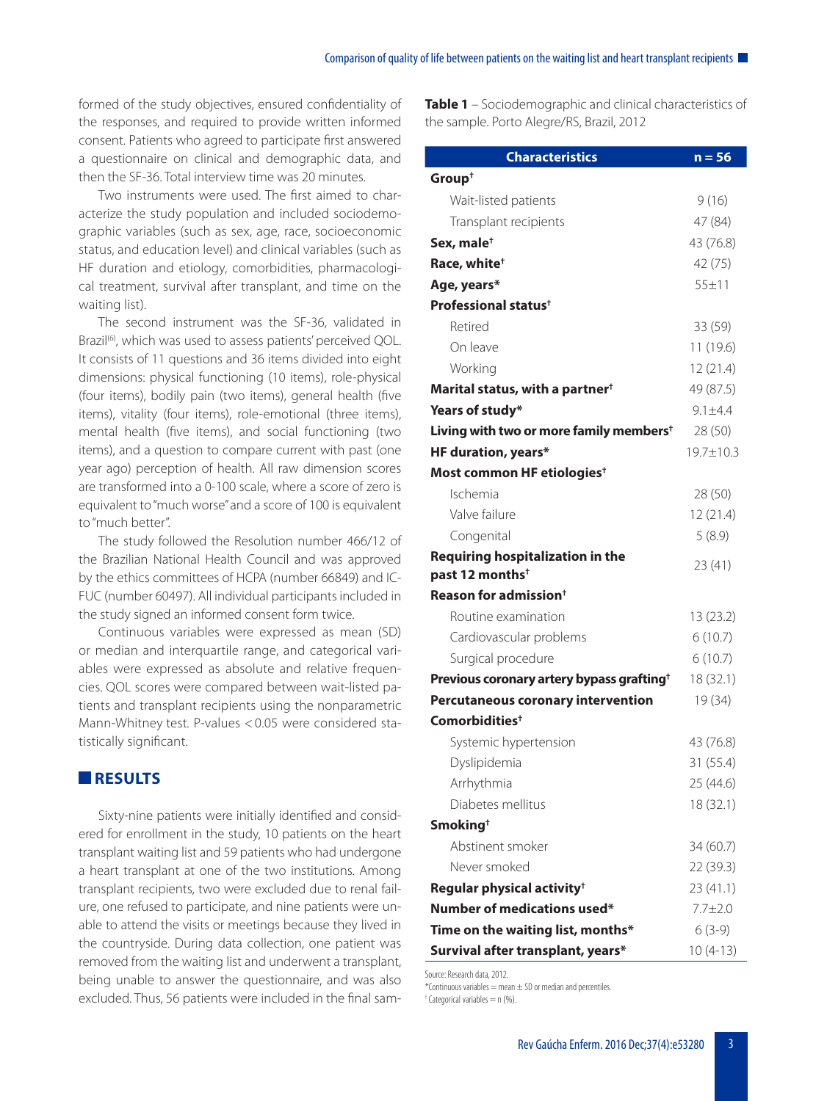formed of the study objectives, ensured confidentiality of the responses, and required to provide written informed consent. Patients who agreed to participate first answered a questionnaire on clinical and demographic data, and then the SF-36. Total interview time was 20 minutes.

Two instruments were used. The first aimed to characterize the study population and included sociodemographic variables (such as sex, age, race, socioeconomic status, and education level) and clinical variables (such as HF duration and etiology, comorbidities, pharmacological treatment, survival after transplant, and time on the waiting list).

The second instrument was the SF-36, validated in Brazil<sup>(6)</sup>, which was used to assess patients' perceived QOL. It consists of 11 questions and 36 items divided into eight dimensions: physical functioning (10 items), role-physical (four items), bodily pain (two items), general health (five items), vitality (four items), role-emotional (three items), mental health (five items), and social functioning (two items), and a question to compare current with past (one year ago) perception of health. All raw dimension scores are transformed into a 0-100 scale, where a score of zero is equivalent to "much worse" and a score of 100 is equivalent to "much better".

The study followed the Resolution number 466/12 of the Brazilian National Health Council and was approved by the ethics committees of HCPA (number 66849) and IC-FUC (number 60497). All individual participants included in the study signed an informed consent form twice.

Continuous variables were expressed as mean (SD) or median and interquartile range, and categorical variables were expressed as absolute and relative frequencies. QOL scores were compared between wait-listed patients and transplant recipients using the nonparametric Mann-Whitney test*.* P-values <0.05 were considered statistically significant.

### **RESULTS**

Sixty-nine patients were initially identified and considered for enrollment in the study, 10 patients on the heart transplant waiting list and 59 patients who had undergone a heart transplant at one of the two institutions. Among transplant recipients, two were excluded due to renal failure, one refused to participate, and nine patients were unable to attend the visits or meetings because they lived in the countryside. During data collection, one patient was removed from the waiting list and underwent a transplant, being unable to answer the questionnaire, and was also excluded. Thus, 56 patients were included in the final sam**Table 1** – Sociodemographic and clinical characteristics of the sample. Porto Alegre/RS, Brazil, 2012

| <b>Characteristics</b>                                                 | $n = 56$    |
|------------------------------------------------------------------------|-------------|
| Group <sup>+</sup>                                                     |             |
| Wait-listed patients                                                   | 9(16)       |
| Transplant recipients                                                  | 47 (84)     |
| Sex, male <sup>+</sup>                                                 | 43 (76.8)   |
| Race, white <sup>+</sup>                                               | 42 (75)     |
| Age, years*                                                            | $55 + 11$   |
| <b>Professional status<sup>+</sup></b>                                 |             |
| Retired                                                                | 33 (59)     |
| On leave                                                               | 11 (19.6)   |
| Working                                                                | 12 (21.4)   |
| Marital status, with a partner <sup>+</sup>                            | 49 (87.5)   |
| Years of study*                                                        | $9.1 + 4.4$ |
| Living with two or more family members <sup>†</sup>                    | 28 (50)     |
| HF duration, years*                                                    | 19.7±10.3   |
| Most common HF etiologies <sup>+</sup>                                 |             |
| Ischemia                                                               | 28 (50)     |
| Valve failure                                                          | 12 (21.4)   |
| Congenital                                                             | 5(8.9)      |
| <b>Requiring hospitalization in the</b><br>past 12 months <sup>t</sup> | 23 (41)     |
| Reason for admission <sup>+</sup>                                      |             |
| Routine examination                                                    | 13 (23.2)   |
| Cardiovascular problems                                                | 6(10.7)     |
| Surgical procedure                                                     | 6(10.7)     |
| Previous coronary artery bypass grafting <sup>†</sup>                  | 18 (32.1)   |
| <b>Percutaneous coronary intervention</b>                              | 19 (34)     |
| Comorbidities <sup>†</sup>                                             |             |
| Systemic hypertension                                                  | 43 (76.8)   |
| Dyslipidemia                                                           | 31 (55.4)   |
| Arrhythmia                                                             | 25 (44.6)   |
| Diabetes mellitus                                                      | 18 (32.1)   |
| Smoking <sup>+</sup>                                                   |             |
| Abstinent smoker                                                       | 34 (60.7)   |
| Never smoked                                                           | 22 (39.3)   |
| Regular physical activity <sup>†</sup>                                 | 23 (41.1)   |
| <b>Number of medications used*</b>                                     | $7.7 + 2.0$ |
| Time on the waiting list, months*                                      | $6(3-9)$    |
| Survival after transplant, years*                                      | $10(4-13)$  |

Source: Research data, 2012.

\*Continuous variables  $=$  mean  $\pm$  SD or median and percentiles. <sup>†</sup> Categorical variables = n (%).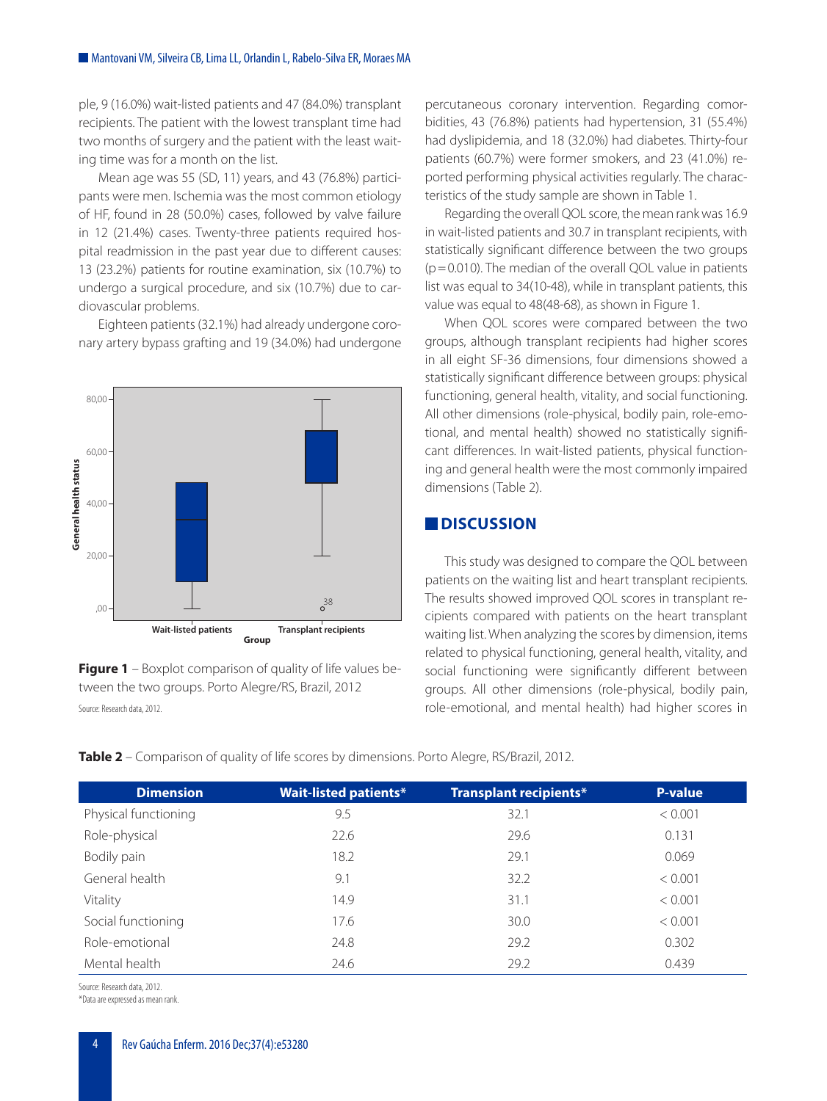ple, 9 (16.0%) wait-listed patients and 47 (84.0%) transplant recipients. The patient with the lowest transplant time had two months of surgery and the patient with the least waiting time was for a month on the list.

Mean age was 55 (SD, 11) years, and 43 (76.8%) participants were men. Ischemia was the most common etiology of HF, found in 28 (50.0%) cases, followed by valve failure in 12 (21.4%) cases. Twenty-three patients required hospital readmission in the past year due to different causes: 13 (23.2%) patients for routine examination, six (10.7%) to undergo a surgical procedure, and six (10.7%) due to cardiovascular problems.

Eighteen patients (32.1%) had already undergone coronary artery bypass grafting and 19 (34.0%) had undergone





percutaneous coronary intervention. Regarding comorbidities, 43 (76.8%) patients had hypertension, 31 (55.4%) had dyslipidemia, and 18 (32.0%) had diabetes. Thirty-four patients (60.7%) were former smokers, and 23 (41.0%) reported performing physical activities regularly. The characteristics of the study sample are shown in Table 1.

Regarding the overall QOL score, the mean rank was 16.9 in wait-listed patients and 30.7 in transplant recipients, with statistically significant difference between the two groups (p=0.010). The median of the overall QOL value in patients list was equal to 34(10-48), while in transplant patients, this value was equal to 48(48-68), as shown in Figure 1.

When QOL scores were compared between the two groups, although transplant recipients had higher scores in all eight SF-36 dimensions, four dimensions showed a statistically significant difference between groups: physical functioning, general health, vitality, and social functioning. All other dimensions (role-physical, bodily pain, role-emotional, and mental health) showed no statistically significant differences. In wait-listed patients, physical functioning and general health were the most commonly impaired dimensions (Table 2).

## **DISCUSSION**

This study was designed to compare the QOL between patients on the waiting list and heart transplant recipients. The results showed improved QOL scores in transplant recipients compared with patients on the heart transplant waiting list. When analyzing the scores by dimension, items related to physical functioning, general health, vitality, and social functioning were significantly different between groups. All other dimensions (role-physical, bodily pain, role-emotional, and mental health) had higher scores in

**Table 2** – Comparison of quality of life scores by dimensions. Porto Alegre, RS/Brazil, 2012.

| <b>Dimension</b>     | <b>Wait-listed patients*</b> | <b>Transplant recipients*</b> | <b>P-value</b> |
|----------------------|------------------------------|-------------------------------|----------------|
| Physical functioning | 9.5                          | 32.1                          | < 0.001        |
| Role-physical        | 22.6                         | 29.6                          | 0.131          |
| Bodily pain          | 18.2                         | 29.1                          | 0.069          |
| General health       | 9.1                          | 32.2                          | < 0.001        |
| Vitality             | 14.9                         | 31.1                          | < 0.001        |
| Social functioning   | 17.6                         | 30.0                          | < 0.001        |
| Role-emotional       | 24.8                         | 29.2                          | 0.302          |
| Mental health        | 24.6                         | 29.2                          | 0.439          |

Source: Research data, 2012.

\*Data are expressed as mean rank.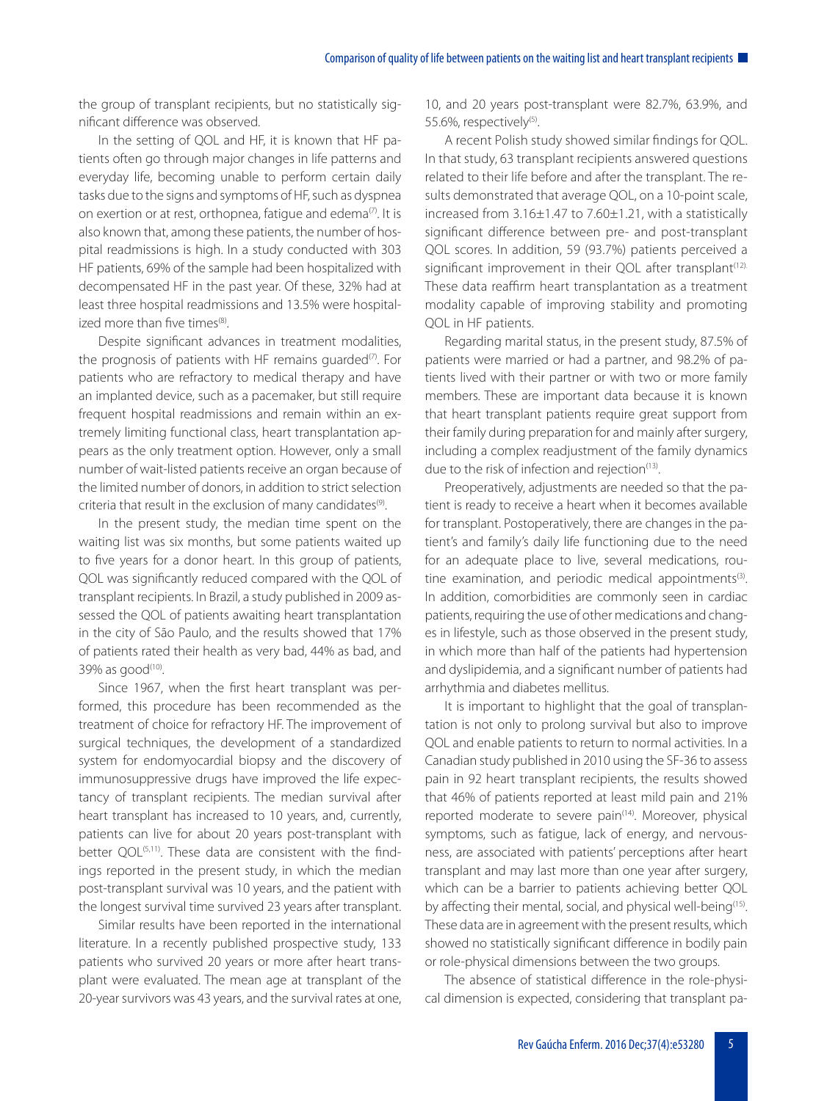the group of transplant recipients, but no statistically significant difference was observed.

In the setting of QOL and HF, it is known that HF patients often go through major changes in life patterns and everyday life, becoming unable to perform certain daily tasks due to the signs and symptoms of HF, such as dyspnea on exertion or at rest, orthopnea, fatigue and edema<sup>(7)</sup>. It is also known that, among these patients, the number of hospital readmissions is high. In a study conducted with 303 HF patients, 69% of the sample had been hospitalized with decompensated HF in the past year. Of these, 32% had at least three hospital readmissions and 13.5% were hospitalized more than five times $^{(8)}$ .

Despite significant advances in treatment modalities, the prognosis of patients with HF remains guarded<sup>(7)</sup>. For patients who are refractory to medical therapy and have an implanted device, such as a pacemaker, but still require frequent hospital readmissions and remain within an extremely limiting functional class, heart transplantation appears as the only treatment option. However, only a small number of wait-listed patients receive an organ because of the limited number of donors, in addition to strict selection criteria that result in the exclusion of many candidates<sup>(9)</sup>.

In the present study, the median time spent on the waiting list was six months, but some patients waited up to five years for a donor heart. In this group of patients, QOL was significantly reduced compared with the QOL of transplant recipients. In Brazil, a study published in 2009 assessed the QOL of patients awaiting heart transplantation in the city of São Paulo, and the results showed that 17% of patients rated their health as very bad, 44% as bad, and 39% as  $q$ ood $(10)$ .

Since 1967, when the first heart transplant was performed, this procedure has been recommended as the treatment of choice for refractory HF. The improvement of surgical techniques, the development of a standardized system for endomyocardial biopsy and the discovery of immunosuppressive drugs have improved the life expectancy of transplant recipients. The median survival after heart transplant has increased to 10 years, and, currently, patients can live for about 20 years post-transplant with better QOL<sup>(5,11)</sup>. These data are consistent with the findings reported in the present study, in which the median post-transplant survival was 10 years, and the patient with the longest survival time survived 23 years after transplant.

Similar results have been reported in the international literature. In a recently published prospective study, 133 patients who survived 20 years or more after heart transplant were evaluated. The mean age at transplant of the 20-year survivors was 43 years, and the survival rates at one,

10, and 20 years post-transplant were 82.7%, 63.9%, and 55.6%, respectively<sup>(5)</sup>.

A recent Polish study showed similar findings for QOL. In that study, 63 transplant recipients answered questions related to their life before and after the transplant. The results demonstrated that average QOL, on a 10-point scale, increased from 3.16±1.47 to 7.60±1.21, with a statistically significant difference between pre- and post-transplant QOL scores. In addition, 59 (93.7%) patients perceived a significant improvement in their OOL after transplant<sup>(12).</sup> These data reaffirm heart transplantation as a treatment modality capable of improving stability and promoting QOL in HF patients.

Regarding marital status, in the present study, 87.5% of patients were married or had a partner, and 98.2% of patients lived with their partner or with two or more family members. These are important data because it is known that heart transplant patients require great support from their family during preparation for and mainly after surgery, including a complex readjustment of the family dynamics due to the risk of infection and rejection<sup>(13)</sup>.

Preoperatively, adjustments are needed so that the patient is ready to receive a heart when it becomes available for transplant. Postoperatively, there are changes in the patient's and family's daily life functioning due to the need for an adequate place to live, several medications, routine examination, and periodic medical appointments<sup>(3)</sup>. In addition, comorbidities are commonly seen in cardiac patients, requiring the use of other medications and changes in lifestyle, such as those observed in the present study, in which more than half of the patients had hypertension and dyslipidemia, and a significant number of patients had arrhythmia and diabetes mellitus.

It is important to highlight that the goal of transplantation is not only to prolong survival but also to improve QOL and enable patients to return to normal activities. In a Canadian study published in 2010 using the SF-36 to assess pain in 92 heart transplant recipients, the results showed that 46% of patients reported at least mild pain and 21% reported moderate to severe pain<sup>(14)</sup>. Moreover, physical symptoms, such as fatigue, lack of energy, and nervousness, are associated with patients' perceptions after heart transplant and may last more than one year after surgery, which can be a barrier to patients achieving better QOL by affecting their mental, social, and physical well-being<sup>(15)</sup>. These data are in agreement with the present results, which showed no statistically significant difference in bodily pain or role-physical dimensions between the two groups.

The absence of statistical difference in the role-physical dimension is expected, considering that transplant pa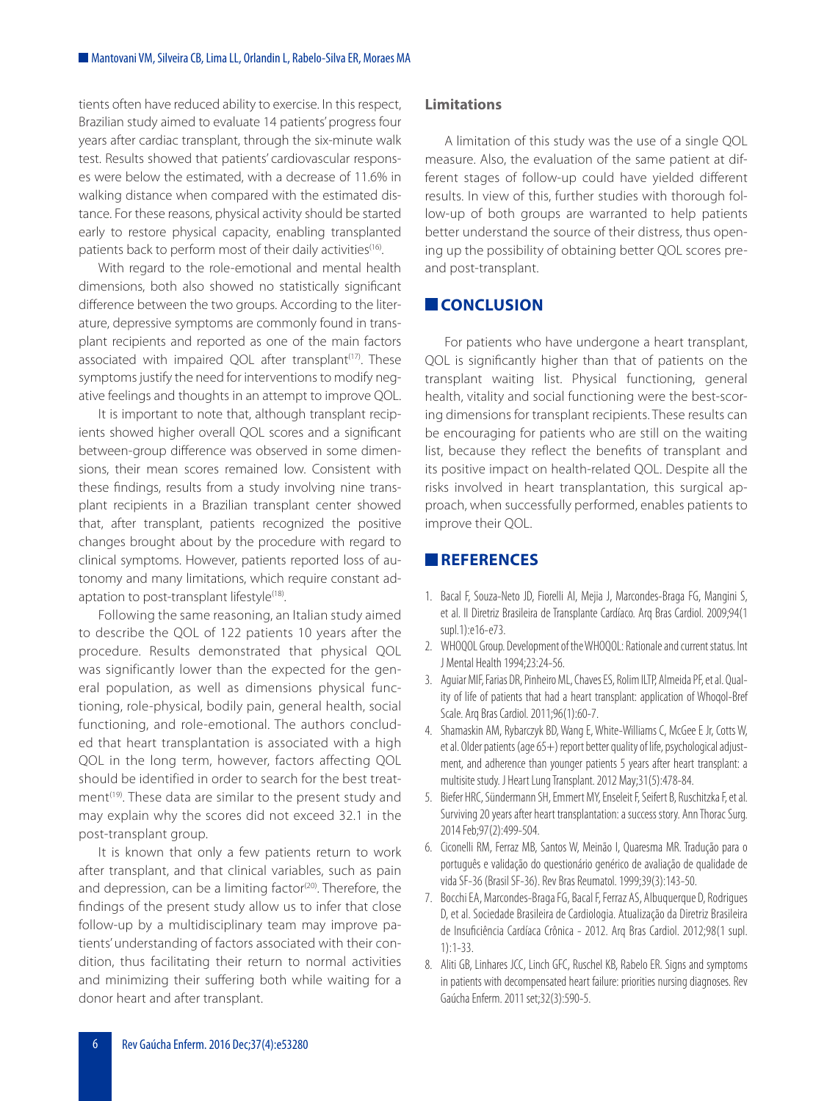tients often have reduced ability to exercise. In this respect, Brazilian study aimed to evaluate 14 patients' progress four years after cardiac transplant, through the six-minute walk test. Results showed that patients' cardiovascular responses were below the estimated, with a decrease of 11.6% in walking distance when compared with the estimated distance. For these reasons, physical activity should be started early to restore physical capacity, enabling transplanted patients back to perform most of their daily activities<sup>(16)</sup>.

With regard to the role-emotional and mental health dimensions, both also showed no statistically significant difference between the two groups. According to the literature, depressive symptoms are commonly found in transplant recipients and reported as one of the main factors associated with impaired QOL after transplant<sup>(17)</sup>. These symptoms justify the need for interventions to modify negative feelings and thoughts in an attempt to improve QOL.

It is important to note that, although transplant recipients showed higher overall QOL scores and a significant between-group difference was observed in some dimensions, their mean scores remained low. Consistent with these findings, results from a study involving nine transplant recipients in a Brazilian transplant center showed that, after transplant, patients recognized the positive changes brought about by the procedure with regard to clinical symptoms. However, patients reported loss of autonomy and many limitations, which require constant adaptation to post-transplant lifestyle<sup>(18)</sup>.

Following the same reasoning, an Italian study aimed to describe the QOL of 122 patients 10 years after the procedure. Results demonstrated that physical QOL was significantly lower than the expected for the general population, as well as dimensions physical functioning, role-physical, bodily pain, general health, social functioning, and role-emotional. The authors concluded that heart transplantation is associated with a high QOL in the long term, however, factors affecting QOL should be identified in order to search for the best treatment<sup>(19)</sup>. These data are similar to the present study and may explain why the scores did not exceed 32.1 in the post-transplant group.

It is known that only a few patients return to work after transplant, and that clinical variables, such as pain and depression, can be a limiting factor<sup>(20)</sup>. Therefore, the findings of the present study allow us to infer that close follow-up by a multidisciplinary team may improve patients' understanding of factors associated with their condition, thus facilitating their return to normal activities and minimizing their suffering both while waiting for a donor heart and after transplant.

#### **Limitations**

A limitation of this study was the use of a single QOL measure. Also, the evaluation of the same patient at different stages of follow-up could have yielded different results. In view of this, further studies with thorough follow-up of both groups are warranted to help patients better understand the source of their distress, thus opening up the possibility of obtaining better QOL scores preand post-transplant.

### **CONCLUSION**

For patients who have undergone a heart transplant, QOL is significantly higher than that of patients on the transplant waiting list. Physical functioning, general health, vitality and social functioning were the best-scoring dimensions for transplant recipients. These results can be encouraging for patients who are still on the waiting list, because they reflect the benefits of transplant and its positive impact on health-related QOL. Despite all the risks involved in heart transplantation, this surgical approach, when successfully performed, enables patients to improve their QOL.

#### **REFERENCES**

- 1. Bacal F, Souza-Neto JD, Fiorelli AI, Mejia J, Marcondes-Braga FG, Mangini S, et al. II Diretriz Brasileira de Transplante Cardíaco. Arq Bras Cardiol. 2009;94(1 supl.1):e16-e73.
- 2. WHOQOL Group. Development of the WHOQOL: Rationale and current status. Int J Mental Health 1994;23:24-56.
- 3. Aguiar MIF, Farias DR, Pinheiro ML, Chaves ES, Rolim ILTP, Almeida PF, et al. Quality of life of patients that had a heart transplant: application of Whoqol-Bref Scale. Arq Bras Cardiol. 2011;96(1):60-7.
- 4. Shamaskin AM, Rybarczyk BD, Wang E, White-Williams C, McGee E Jr, Cotts W, et al. Older patients (age 65+) report better quality of life, psychological adjustment, and adherence than younger patients 5 years after heart transplant: a multisite study. J Heart Lung Transplant. 2012 May;31(5):478-84.
- 5. Biefer HRC, Sündermann SH, Emmert MY, Enseleit F, Seifert B, Ruschitzka F, et al. Surviving 20 years after heart transplantation: a success story. Ann Thorac Surg. 2014 Feb;97(2):499-504.
- 6. Ciconelli RM, Ferraz MB, Santos W, Meinão I, Quaresma MR. Tradução para o português e validação do questionário genérico de avaliação de qualidade de vida SF-36 (Brasil SF-36). Rev Bras Reumatol. 1999;39(3):143-50.
- 7. Bocchi EA, Marcondes-Braga FG, Bacal F, Ferraz AS, Albuquerque D, Rodrigues D, et al. Sociedade Brasileira de Cardiologia. Atualização da Diretriz Brasileira de Insuficiência Cardíaca Crônica - 2012. Arq Bras Cardiol. 2012;98(1 supl. 1):1-33.
- 8. Aliti GB, Linhares JCC, Linch GFC, Ruschel KB, Rabelo ER. Signs and symptoms in patients with decompensated heart failure: priorities nursing diagnoses. Rev Gaúcha Enferm. 2011 set;32(3):590-5.